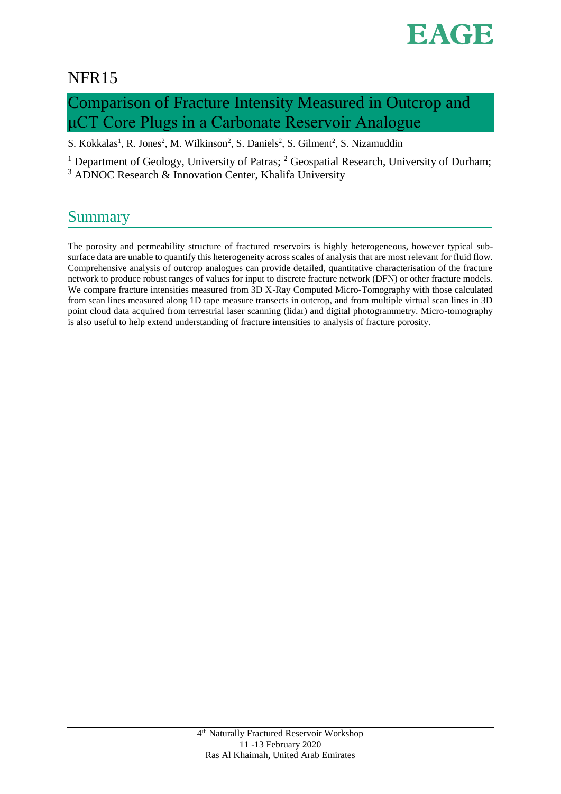

# NFR15

# Comparison of Fracture Intensity Measured in Outcrop and μCT Core Plugs in a Carbonate Reservoir Analogue

S. Kokkalas<sup>1</sup>, R. Jones<sup>2</sup>, M. Wilkinson<sup>2</sup>, S. Daniels<sup>2</sup>, S. Gilment<sup>2</sup>, S. Nizamuddin

<sup>1</sup> Department of Geology, University of Patras; <sup>2</sup> Geospatial Research, University of Durham; <sup>3</sup> ADNOC Research & Innovation Center, Khalifa University

# **Summary**

The porosity and permeability structure of fractured reservoirs is highly heterogeneous, however typical subsurface data are unable to quantify this heterogeneity across scales of analysis that are most relevant for fluid flow. Comprehensive analysis of outcrop analogues can provide detailed, quantitative characterisation of the fracture network to produce robust ranges of values for input to discrete fracture network (DFN) or other fracture models. We compare fracture intensities measured from 3D X-Ray Computed Micro-Tomography with those calculated from scan lines measured along 1D tape measure transects in outcrop, and from multiple virtual scan lines in 3D point cloud data acquired from terrestrial laser scanning (lidar) and digital photogrammetry. Micro-tomography is also useful to help extend understanding of fracture intensities to analysis of fracture porosity.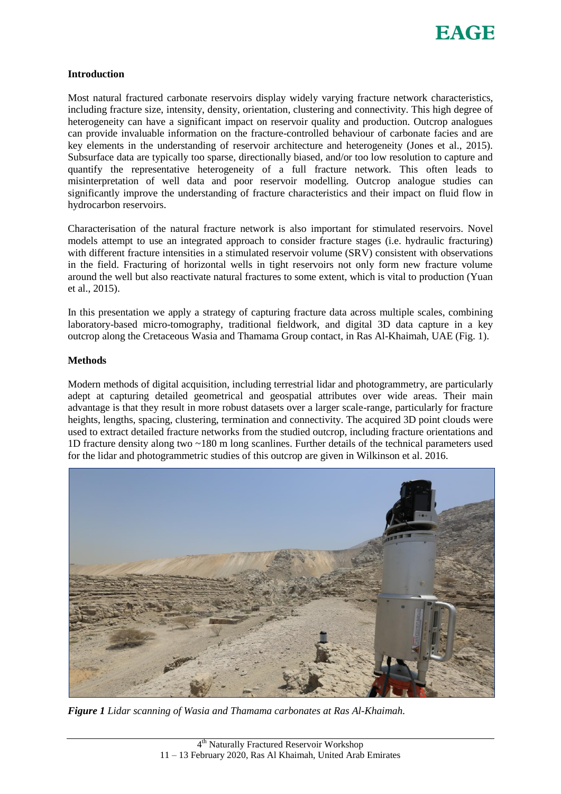

#### **Introduction**

Most natural fractured carbonate reservoirs display widely varying fracture network characteristics, including fracture size, intensity, density, orientation, clustering and connectivity. This high degree of heterogeneity can have a significant impact on reservoir quality and production. Outcrop analogues can provide invaluable information on the fracture-controlled behaviour of carbonate facies and are key elements in the understanding of reservoir architecture and heterogeneity (Jones et al., 2015). Subsurface data are typically too sparse, directionally biased, and/or too low resolution to capture and quantify the representative heterogeneity of a full fracture network. This often leads to misinterpretation of well data and poor reservoir modelling. Outcrop analogue studies can significantly improve the understanding of fracture characteristics and their impact on fluid flow in hydrocarbon reservoirs.

Characterisation of the natural fracture network is also important for stimulated reservoirs. Novel models attempt to use an integrated approach to consider fracture stages (i.e. hydraulic fracturing) with different fracture intensities in a stimulated reservoir volume (SRV) consistent with observations in the field. Fracturing of horizontal wells in tight reservoirs not only form new fracture volume around the well but also reactivate natural fractures to some extent, which is vital to production (Yuan et al., 2015).

In this presentation we apply a strategy of capturing fracture data across multiple scales, combining laboratory-based micro-tomography, traditional fieldwork, and digital 3D data capture in a key outcrop along the Cretaceous Wasia and Thamama Group contact, in Ras Al-Khaimah, UAE (Fig. 1).

## **Methods**

Modern methods of digital acquisition, including terrestrial lidar and photogrammetry, are particularly adept at capturing detailed geometrical and geospatial attributes over wide areas. Their main advantage is that they result in more robust datasets over a larger scale-range, particularly for fracture heights, lengths, spacing, clustering, termination and connectivity. The acquired 3D point clouds were used to extract detailed fracture networks from the studied outcrop, including fracture orientations and 1D fracture density along two ~180 m long scanlines. Further details of the technical parameters used for the lidar and photogrammetric studies of this outcrop are given in Wilkinson et al. 2016.



*Figure 1 Lidar scanning of Wasia and Thamama carbonates at Ras Al-Khaimah.*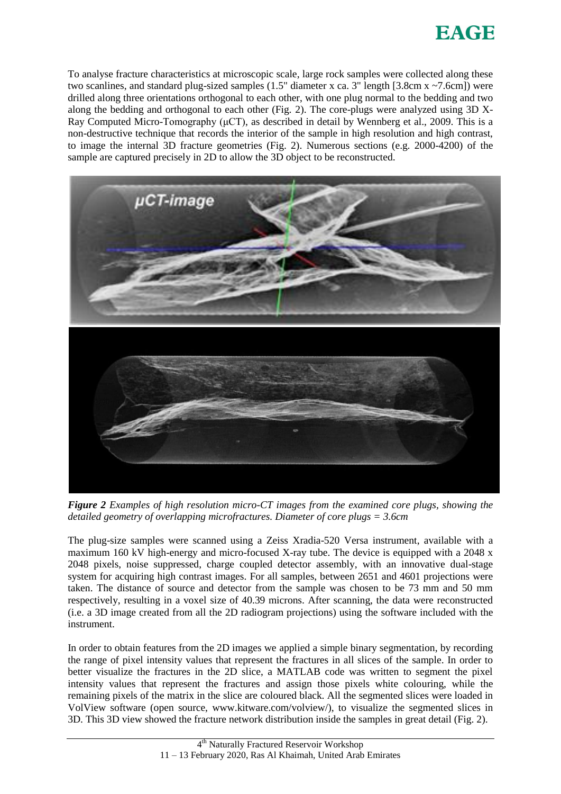

To analyse fracture characteristics at microscopic scale, large rock samples were collected along these two scanlines, and standard plug-sized samples (1.5" diameter x ca. 3" length [3.8cm x ~7.6cm]) were drilled along three orientations orthogonal to each other, with one plug normal to the bedding and two along the bedding and orthogonal to each other (Fig. 2). The core-plugs were analyzed using 3D X-Ray Computed Micro-Tomography ( $\mu$ CT), as described in detail by Wennberg et al., 2009. This is a non-destructive technique that records the interior of the sample in high resolution and high contrast, to image the internal 3D fracture geometries (Fig. 2). Numerous sections (e.g. 2000-4200) of the sample are captured precisely in 2D to allow the 3D object to be reconstructed.



*Figure 2 Examples of high resolution micro-CT images from the examined core plugs, showing the detailed geometry of overlapping microfractures. Diameter of core plugs = 3.6cm* 

The plug-size samples were scanned using a Zeiss Xradia-520 Versa instrument, available with a maximum 160 kV high-energy and micro-focused X-ray tube. The device is equipped with a 2048 x 2048 pixels, noise suppressed, charge coupled detector assembly, with an innovative dual-stage system for acquiring high contrast images. For all samples, between 2651 and 4601 projections were taken. The distance of source and detector from the sample was chosen to be 73 mm and 50 mm respectively, resulting in a voxel size of 40.39 microns. After scanning, the data were reconstructed (i.e. a 3D image created from all the 2D radiogram projections) using the software included with the instrument.

In order to obtain features from the 2D images we applied a simple binary segmentation, by recording the range of pixel intensity values that represent the fractures in all slices of the sample. In order to better visualize the fractures in the 2D slice, a MATLAB code was written to segment the pixel intensity values that represent the fractures and assign those pixels white colouring, while the remaining pixels of the matrix in the slice are coloured black. All the segmented slices were loaded in VolView software (open source, www.kitware.com/volview/), to visualize the segmented slices in 3D. This 3D view showed the fracture network distribution inside the samples in great detail (Fig. 2).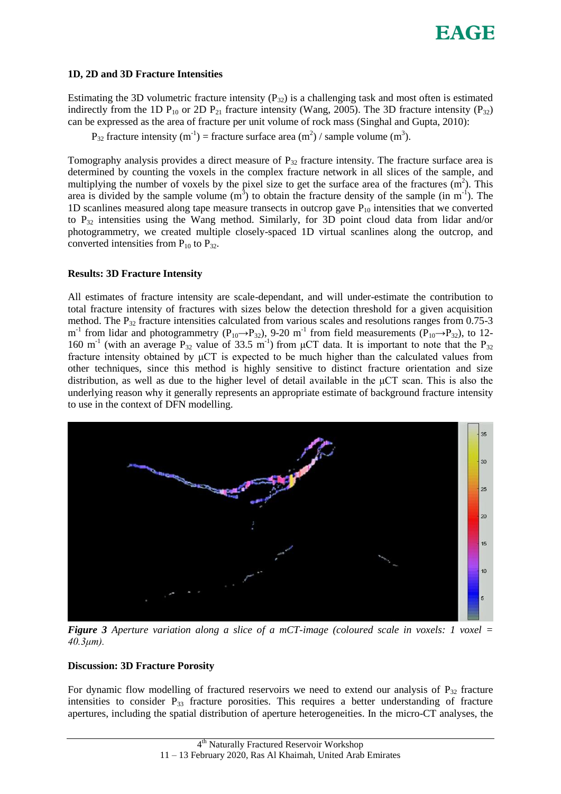## **1D, 2D and 3D Fracture Intensities**

Estimating the 3D volumetric fracture intensity  $(P_{32})$  is a challenging task and most often is estimated indirectly from the 1D  $P_{10}$  or 2D  $P_{21}$  fracture intensity (Wang, 2005). The 3D fracture intensity ( $P_{32}$ ) can be expressed as the area of fracture per unit volume of rock mass (Singhal and Gupta, 2010):

 $P_{32}$  fracture intensity (m<sup>-1</sup>) = fracture surface area (m<sup>2</sup>) / sample volume (m<sup>3</sup>).

Tomography analysis provides a direct measure of  $P_{32}$  fracture intensity. The fracture surface area is determined by counting the voxels in the complex fracture network in all slices of the sample, and multiplying the number of voxels by the pixel size to get the surface area of the fractures  $(m<sup>2</sup>)$ . This area is divided by the sample volume  $(m<sup>3</sup>)$  to obtain the fracture density of the sample (in m<sup>-1</sup>). The 1D scanlines measured along tape measure transects in outcrop gave  $P_{10}$  intensities that we converted to P32 intensities using the Wang method. Similarly, for 3D point cloud data from lidar and/or photogrammetry, we created multiple closely-spaced 1D virtual scanlines along the outcrop, and converted intensities from  $P_{10}$  to  $P_{32}$ .

## **Results: 3D Fracture Intensity**

All estimates of fracture intensity are scale-dependant, and will under-estimate the contribution to total fracture intensity of fractures with sizes below the detection threshold for a given acquisition method. The  $P_{32}$  fracture intensities calculated from various scales and resolutions ranges from 0.75-3 m<sup>-1</sup> from lidar and photogrammetry ( $P_{10} \rightarrow P_{32}$ ), 9-20 m<sup>-1</sup> from field measurements ( $P_{10} \rightarrow P_{32}$ ), to 12-160 m<sup>-1</sup> (with an average P<sub>32</sub> value of 33.5 m<sup>-1</sup>) from  $\mu$ CT data. It is important to note that the P<sub>32</sub> fracture intensity obtained by μCT is expected to be much higher than the calculated values from other techniques, since this method is highly sensitive to distinct fracture orientation and size distribution, as well as due to the higher level of detail available in the μCT scan. This is also the underlying reason why it generally represents an appropriate estimate of background fracture intensity to use in the context of DFN modelling.



*Figure 3 Aperture variation along a slice of a mCT-image (coloured scale in voxels: 1 voxel = 40.3μm).*

#### **Discussion: 3D Fracture Porosity**

For dynamic flow modelling of fractured reservoirs we need to extend our analysis of  $P_{32}$  fracture intensities to consider P<sub>33</sub> fracture porosities. This requires a better understanding of fracture apertures, including the spatial distribution of aperture heterogeneities. In the micro-CT analyses, the